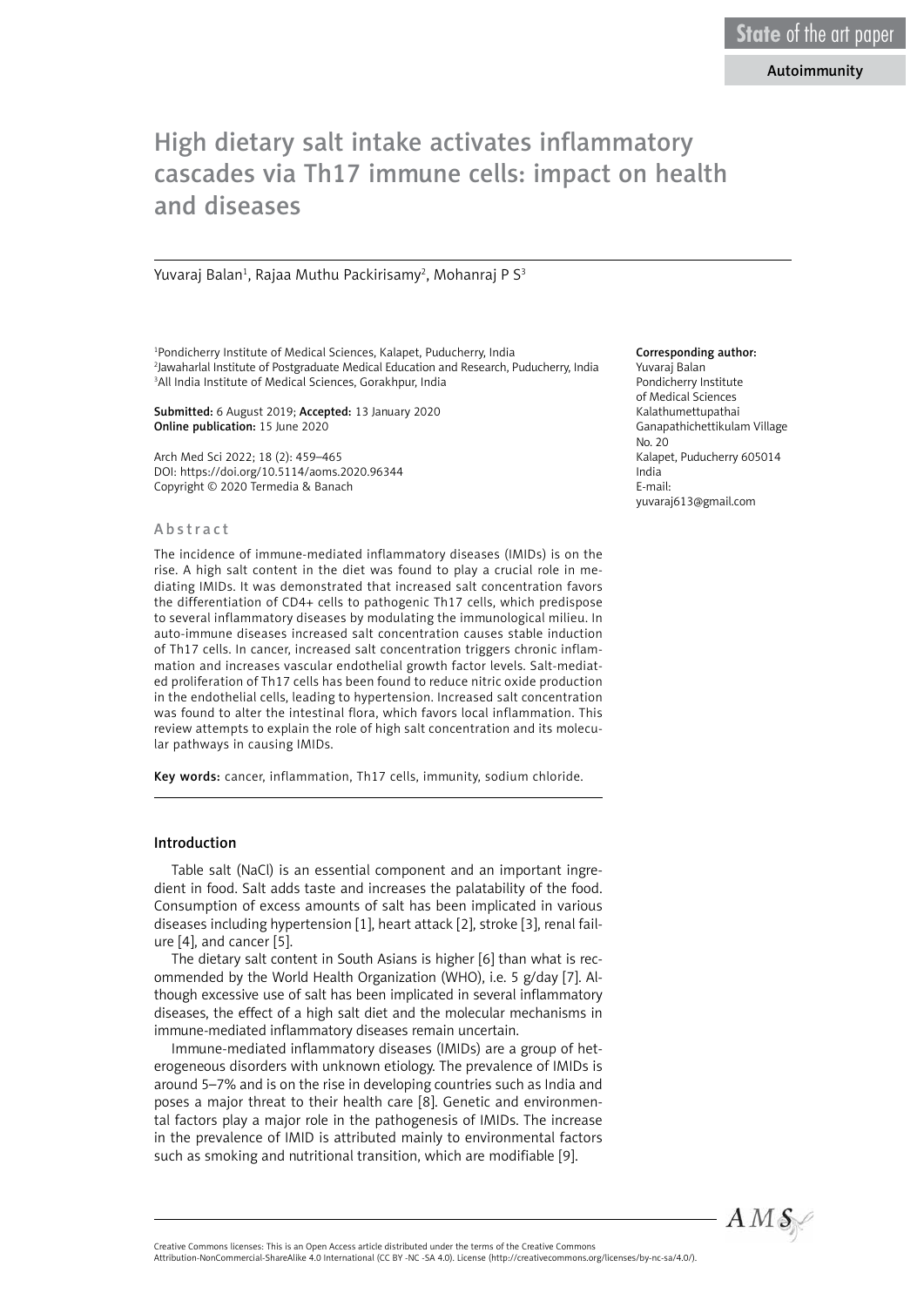# Autoimmunity

# High dietary salt intake activates inflammatory cascades via Th17 immune cells: impact on health and diseases

Yuvaraj Balan<sup>1</sup>, Rajaa Muthu Packirisamy<sup>2</sup>, Mohanraj P S<sup>3</sup>

1 Pondicherry Institute of Medical Sciences, Kalapet, Puducherry, India 2 Jawaharlal Institute of Postgraduate Medical Education and Research, Puducherry, India 3 All India Institute of Medical Sciences, Gorakhpur, India

Submitted: 6 August 2019; Accepted: 13 January 2020 Online publication: 15 June 2020

Arch Med Sci 2022; 18 (2): 459–465 DOI: https://doi.org/10.5114/aoms.2020.96344 Copyright © 2020 Termedia & Banach

#### Abstract

The incidence of immune-mediated inflammatory diseases (IMIDs) is on the rise. A high salt content in the diet was found to play a crucial role in mediating IMIDs. It was demonstrated that increased salt concentration favors the differentiation of CD4+ cells to pathogenic Th17 cells, which predispose to several inflammatory diseases by modulating the immunological milieu. In auto-immune diseases increased salt concentration causes stable induction of Th17 cells. In cancer, increased salt concentration triggers chronic inflammation and increases vascular endothelial growth factor levels. Salt-mediated proliferation of Th17 cells has been found to reduce nitric oxide production in the endothelial cells, leading to hypertension. Increased salt concentration was found to alter the intestinal flora, which favors local inflammation. This review attempts to explain the role of high salt concentration and its molecular pathways in causing IMIDs.

Key words: cancer, inflammation, Th17 cells, immunity, sodium chloride.

# Introduction

Table salt (NaCl) is an essential component and an important ingredient in food. Salt adds taste and increases the palatability of the food. Consumption of excess amounts of salt has been implicated in various diseases including hypertension [1], heart attack [2], stroke [3], renal failure [4], and cancer [5].

The dietary salt content in South Asians is higher [6] than what is recommended by the World Health Organization (WHO), i.e. 5 g/day [7]. Although excessive use of salt has been implicated in several inflammatory diseases, the effect of a high salt diet and the molecular mechanisms in immune-mediated inflammatory diseases remain uncertain.

Immune-mediated inflammatory diseases (IMIDs) are a group of heterogeneous disorders with unknown etiology. The prevalence of IMIDs is around 5–7% and is on the rise in developing countries such as India and poses a major threat to their health care [8]. Genetic and environmental factors play a major role in the pathogenesis of IMIDs. The increase in the prevalence of IMID is attributed mainly to environmental factors such as smoking and nutritional transition, which are modifiable [9].

#### Corresponding author:

Yuvaraj Balan Pondicherry Institute of Medical Sciences Kalathumettupathai Ganapathichettikulam Village No. 20 Kalapet, Puducherry 605014 India E-mail: yuvaraj613@gmail.com



Attribution-NonCommercial-ShareAlike 4.0 International (CC BY -NC -SA 4.0). License (http://creativecommons.org/licenses/by-nc-sa/4.0/).

Creative Commons licenses: This is an Open Access article distributed under the terms of the Creative Commons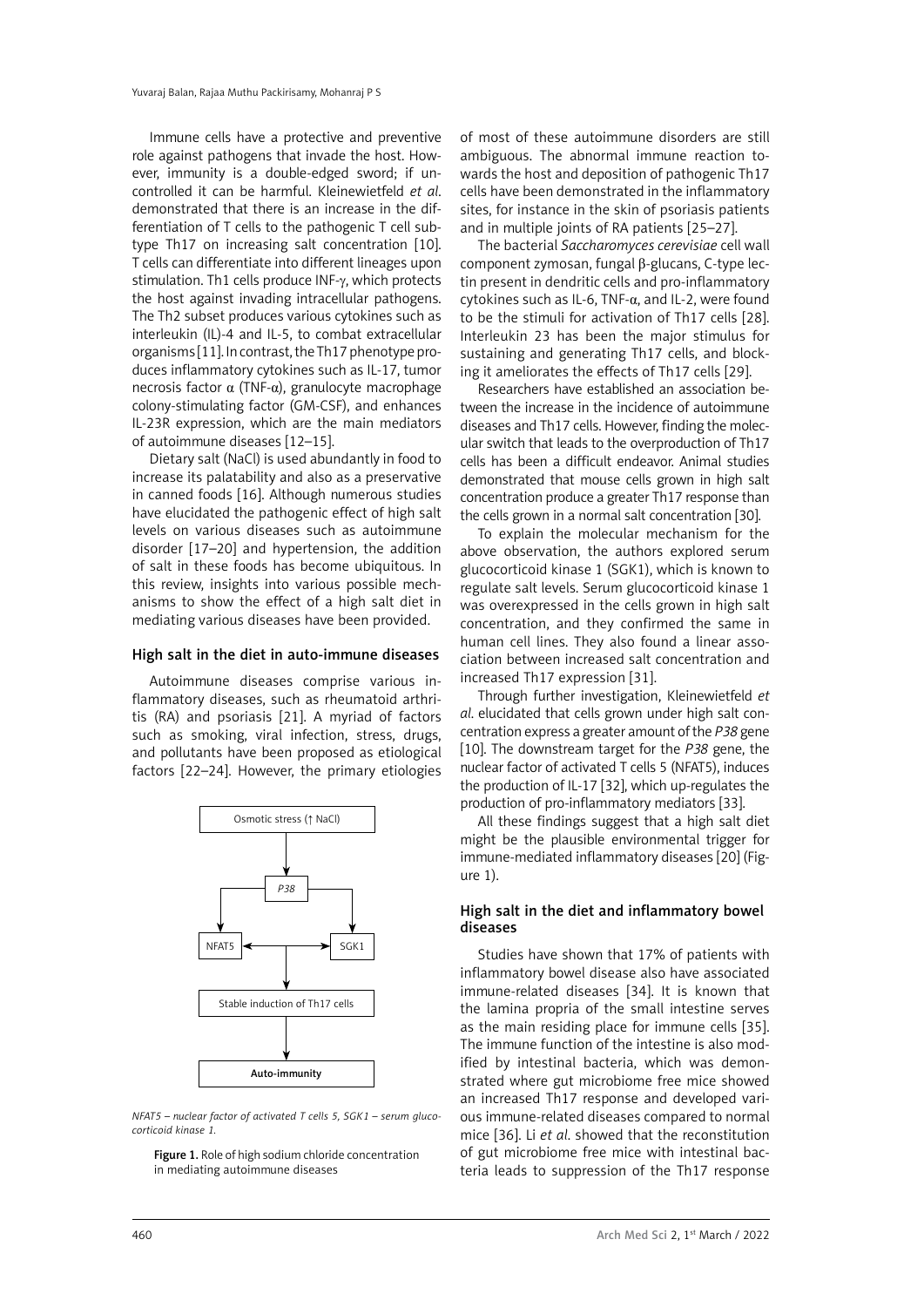Immune cells have a protective and preventive role against pathogens that invade the host. However, immunity is a double-edged sword; if uncontrolled it can be harmful. Kleinewietfeld *et al*. demonstrated that there is an increase in the differentiation of T cells to the pathogenic T cell subtype Th17 on increasing salt concentration [10]. T cells can differentiate into different lineages upon stimulation. Th1 cells produce INF-γ, which protects the host against invading intracellular pathogens. The Th2 subset produces various cytokines such as interleukin (IL)-4 and IL-5, to combat extracellular organisms [11]. In contrast, the Th17 phenotype produces inflammatory cytokines such as IL-17, tumor necrosis factor  $\alpha$  (TNF-α), granulocyte macrophage colony-stimulating factor (GM-CSF), and enhances IL-23R expression, which are the main mediators of autoimmune diseases [12–15].

Dietary salt (NaCl) is used abundantly in food to increase its palatability and also as a preservative in canned foods [16]. Although numerous studies have elucidated the pathogenic effect of high salt levels on various diseases such as autoimmune disorder [17–20] and hypertension, the addition of salt in these foods has become ubiquitous. In this review, insights into various possible mechanisms to show the effect of a high salt diet in mediating various diseases have been provided.

# High salt in the diet in auto-immune diseases

Autoimmune diseases comprise various inflammatory diseases, such as rheumatoid arthritis (RA) and psoriasis [21]. A myriad of factors such as smoking, viral infection, stress, drugs, and pollutants have been proposed as etiological factors [22–24]. However, the primary etiologies



*NFAT5 – nuclear factor of activated T cells 5, SGK1 – serum glucocorticoid kinase 1.*

Figure 1. Role of high sodium chloride concentration in mediating autoimmune diseases

of most of these autoimmune disorders are still ambiguous. The abnormal immune reaction towards the host and deposition of pathogenic Th17 cells have been demonstrated in the inflammatory sites, for instance in the skin of psoriasis patients and in multiple joints of RA patients [25–27].

The bacterial *Saccharomyces cerevisiae* cell wall component zymosan, fungal β-glucans, C-type lectin present in dendritic cells and pro-inflammatory cytokines such as IL-6, TNF-α, and IL-2, were found to be the stimuli for activation of Th17 cells [28]. Interleukin 23 has been the major stimulus for sustaining and generating Th17 cells, and blocking it ameliorates the effects of Th17 cells [29].

Researchers have established an association between the increase in the incidence of autoimmune diseases and Th17 cells. However, finding the molecular switch that leads to the overproduction of Th17 cells has been a difficult endeavor. Animal studies demonstrated that mouse cells grown in high salt concentration produce a greater Th17 response than the cells grown in a normal salt concentration [30].

To explain the molecular mechanism for the above observation, the authors explored serum glucocorticoid kinase 1 (SGK1), which is known to regulate salt levels. Serum glucocorticoid kinase 1 was overexpressed in the cells grown in high salt concentration, and they confirmed the same in human cell lines. They also found a linear association between increased salt concentration and increased Th17 expression [31].

Through further investigation, Kleinewietfeld *et al*. elucidated that cells grown under high salt concentration express a greater amount of the *P38* gene [10]. The downstream target for the *P38* gene, the nuclear factor of activated T cells 5 (NFAT5), induces the production of IL-17 [32], which up-regulates the production of pro-inflammatory mediators [33].

All these findings suggest that a high salt diet might be the plausible environmental trigger for immune-mediated inflammatory diseases [20] (Figure 1).

# High salt in the diet and inflammatory bowel diseases

Studies have shown that 17% of patients with inflammatory bowel disease also have associated immune-related diseases [34]. It is known that the lamina propria of the small intestine serves as the main residing place for immune cells [35]. The immune function of the intestine is also modified by intestinal bacteria, which was demonstrated where gut microbiome free mice showed an increased Th17 response and developed various immune-related diseases compared to normal mice [36]. Li *et al*. showed that the reconstitution of gut microbiome free mice with intestinal bacteria leads to suppression of the Th17 response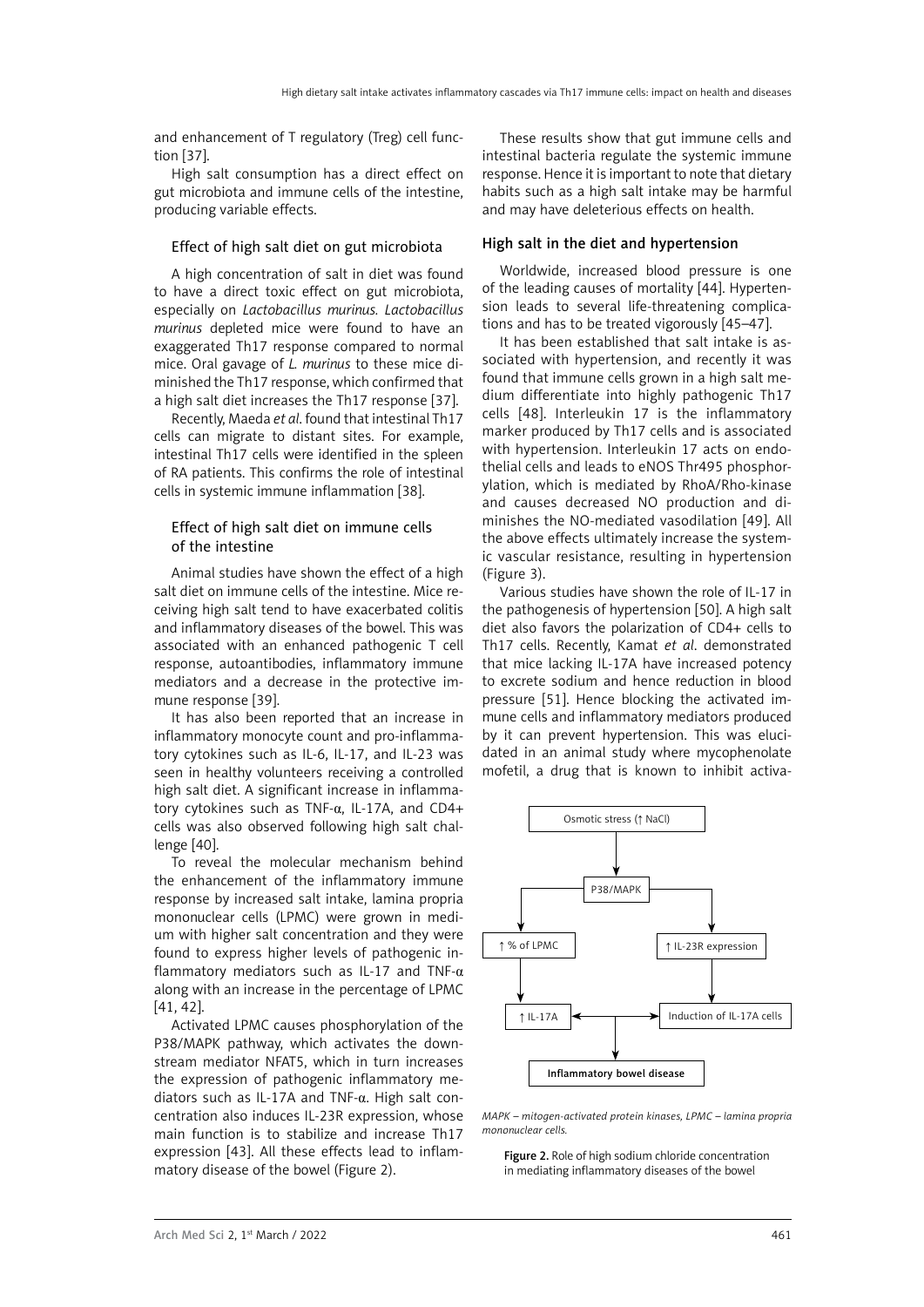and enhancement of T regulatory (Treg) cell function [37].

High salt consumption has a direct effect on gut microbiota and immune cells of the intestine, producing variable effects.

### Effect of high salt diet on gut microbiota

A high concentration of salt in diet was found to have a direct toxic effect on gut microbiota, especially on *Lactobacillus murinus. Lactobacillus murinus* depleted mice were found to have an exaggerated Th17 response compared to normal mice. Oral gavage of *L. murinus* to these mice diminished the Th17 response, which confirmed that a high salt diet increases the Th17 response [37].

Recently, Maeda *et al*. found that intestinal Th17 cells can migrate to distant sites. For example, intestinal Th17 cells were identified in the spleen of RA patients. This confirms the role of intestinal cells in systemic immune inflammation [38].

#### Effect of high salt diet on immune cells of the intestine

Animal studies have shown the effect of a high salt diet on immune cells of the intestine. Mice receiving high salt tend to have exacerbated colitis and inflammatory diseases of the bowel. This was associated with an enhanced pathogenic T cell response, autoantibodies, inflammatory immune mediators and a decrease in the protective immune response [39].

It has also been reported that an increase in inflammatory monocyte count and pro-inflammatory cytokines such as IL-6, IL-17, and IL-23 was seen in healthy volunteers receiving a controlled high salt diet. A significant increase in inflammatory cytokines such as TNF-α, IL-17A, and CD4+ cells was also observed following high salt challenge [40].

To reveal the molecular mechanism behind the enhancement of the inflammatory immune response by increased salt intake, lamina propria mononuclear cells (LPMC) were grown in medium with higher salt concentration and they were found to express higher levels of pathogenic inflammatory mediators such as IL-17 and TNF- $\alpha$ along with an increase in the percentage of LPMC [41, 42].

Activated LPMC causes phosphorylation of the P38/MAPK pathway, which activates the downstream mediator NFAT5, which in turn increases the expression of pathogenic inflammatory mediators such as IL-17A and TNF-α. High salt concentration also induces IL-23R expression, whose main function is to stabilize and increase Th17 expression [43]. All these effects lead to inflammatory disease of the bowel (Figure 2).

These results show that gut immune cells and intestinal bacteria regulate the systemic immune response. Hence it is important to note that dietary habits such as a high salt intake may be harmful and may have deleterious effects on health.

#### High salt in the diet and hypertension

Worldwide, increased blood pressure is one of the leading causes of mortality [44]. Hypertension leads to several life-threatening complications and has to be treated vigorously [45–47].

It has been established that salt intake is associated with hypertension, and recently it was found that immune cells grown in a high salt medium differentiate into highly pathogenic Th17 cells [48]. Interleukin 17 is the inflammatory marker produced by Th17 cells and is associated with hypertension. Interleukin 17 acts on endothelial cells and leads to eNOS Thr495 phosphorylation, which is mediated by RhoA/Rho-kinase and causes decreased NO production and diminishes the NO-mediated vasodilation [49]. All the above effects ultimately increase the systemic vascular resistance, resulting in hypertension (Figure 3).

Various studies have shown the role of IL-17 in the pathogenesis of hypertension [50]. A high salt diet also favors the polarization of CD4+ cells to Th17 cells. Recently, Kamat *et al*. demonstrated that mice lacking IL-17A have increased potency to excrete sodium and hence reduction in blood pressure [51]. Hence blocking the activated immune cells and inflammatory mediators produced by it can prevent hypertension. This was elucidated in an animal study where mycophenolate mofetil, a drug that is known to inhibit activa-



*MAPK – mitogen-activated protein kinases, LPMC – lamina propria mononuclear cells.* 

Figure 2. Role of high sodium chloride concentration in mediating inflammatory diseases of the bowel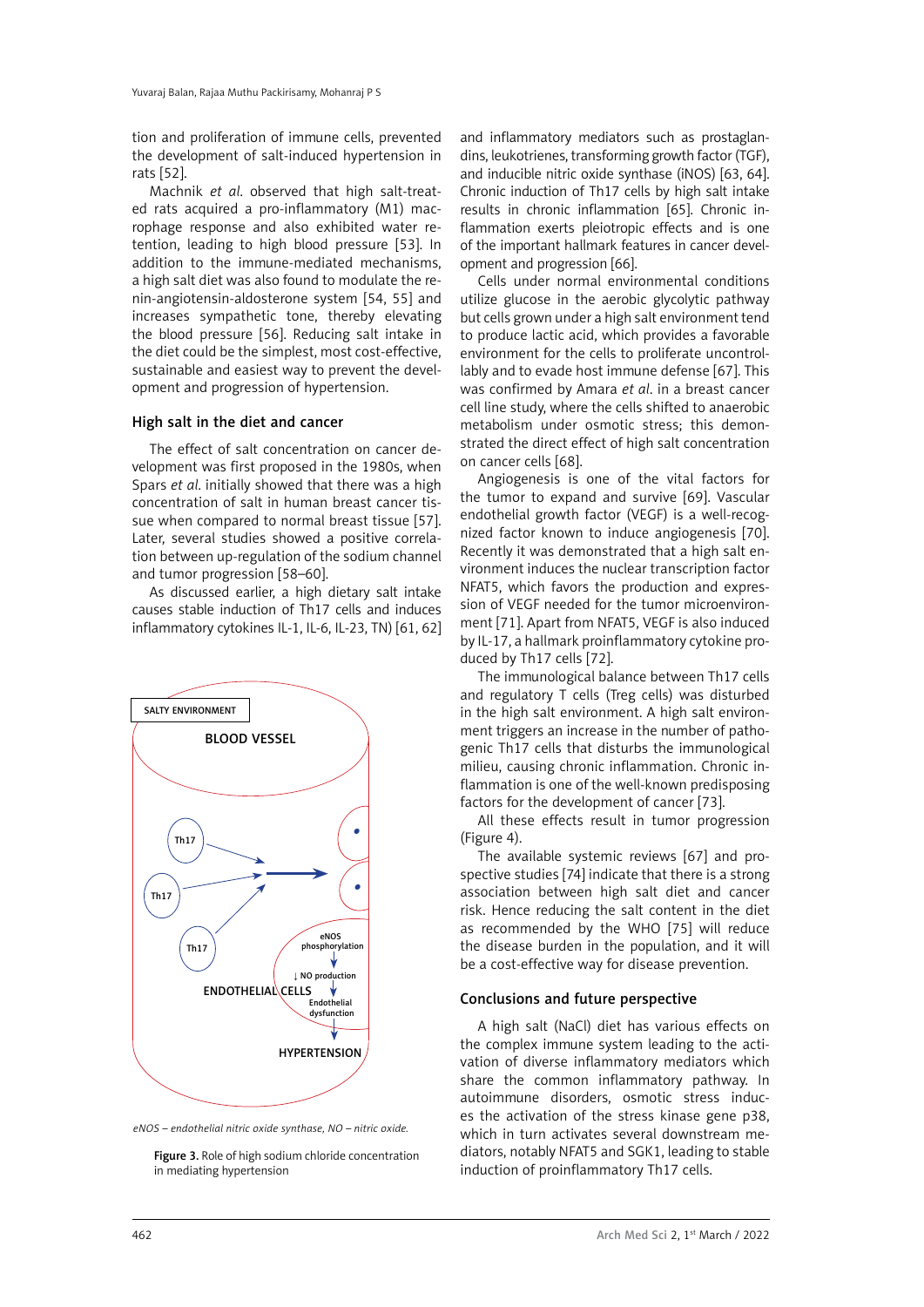tion and proliferation of immune cells, prevented the development of salt-induced hypertension in rats [52].

Machnik *et al*. observed that high salt-treated rats acquired a pro-inflammatory (M1) macrophage response and also exhibited water retention, leading to high blood pressure [53]. In addition to the immune-mediated mechanisms, a high salt diet was also found to modulate the renin-angiotensin-aldosterone system [54, 55] and increases sympathetic tone, thereby elevating the blood pressure [56]. Reducing salt intake in the diet could be the simplest, most cost-effective, sustainable and easiest way to prevent the development and progression of hypertension.

### High salt in the diet and cancer

The effect of salt concentration on cancer development was first proposed in the 1980s, when Spars *et al*. initially showed that there was a high concentration of salt in human breast cancer tissue when compared to normal breast tissue [57]. Later, several studies showed a positive correlation between up-regulation of the sodium channel and tumor progression [58–60].

As discussed earlier, a high dietary salt intake causes stable induction of Th17 cells and induces inflammatory cytokines IL-1, IL-6, IL-23, TN) [61, 62]



*eNOS – endothelial nitric oxide synthase, NO – nitric oxide.* 

Figure 3. Role of high sodium chloride concentration in mediating hypertension

and inflammatory mediators such as prostaglandins, leukotrienes, transforming growth factor (TGF), and inducible nitric oxide synthase (iNOS) [63, 64]. Chronic induction of Th17 cells by high salt intake results in chronic inflammation [65]. Chronic inflammation exerts pleiotropic effects and is one of the important hallmark features in cancer development and progression [66].

Cells under normal environmental conditions utilize glucose in the aerobic glycolytic pathway but cells grown under a high salt environment tend to produce lactic acid, which provides a favorable environment for the cells to proliferate uncontrollably and to evade host immune defense [67]. This was confirmed by Amara *et al*. in a breast cancer cell line study, where the cells shifted to anaerobic metabolism under osmotic stress; this demonstrated the direct effect of high salt concentration on cancer cells [68].

Angiogenesis is one of the vital factors for the tumor to expand and survive [69]. Vascular endothelial growth factor (VEGF) is a well-recognized factor known to induce angiogenesis [70]. Recently it was demonstrated that a high salt environment induces the nuclear transcription factor NFAT5, which favors the production and expression of VEGF needed for the tumor microenvironment [71]. Apart from NFAT5, VEGF is also induced by IL-17, a hallmark proinflammatory cytokine produced by Th17 cells [72].

The immunological balance between Th17 cells and regulatory T cells (Treg cells) was disturbed in the high salt environment. A high salt environment triggers an increase in the number of pathogenic Th17 cells that disturbs the immunological milieu, causing chronic inflammation. Chronic inflammation is one of the well-known predisposing factors for the development of cancer [73].

All these effects result in tumor progression (Figure 4).

The available systemic reviews [67] and prospective studies [74] indicate that there is a strong association between high salt diet and cancer risk. Hence reducing the salt content in the diet as recommended by the WHO [75] will reduce the disease burden in the population, and it will be a cost-effective way for disease prevention.

## Conclusions and future perspective

A high salt (NaCl) diet has various effects on the complex immune system leading to the activation of diverse inflammatory mediators which share the common inflammatory pathway. In autoimmune disorders, osmotic stress induces the activation of the stress kinase gene p38, which in turn activates several downstream mediators, notably NFAT5 and SGK1, leading to stable induction of proinflammatory Th17 cells.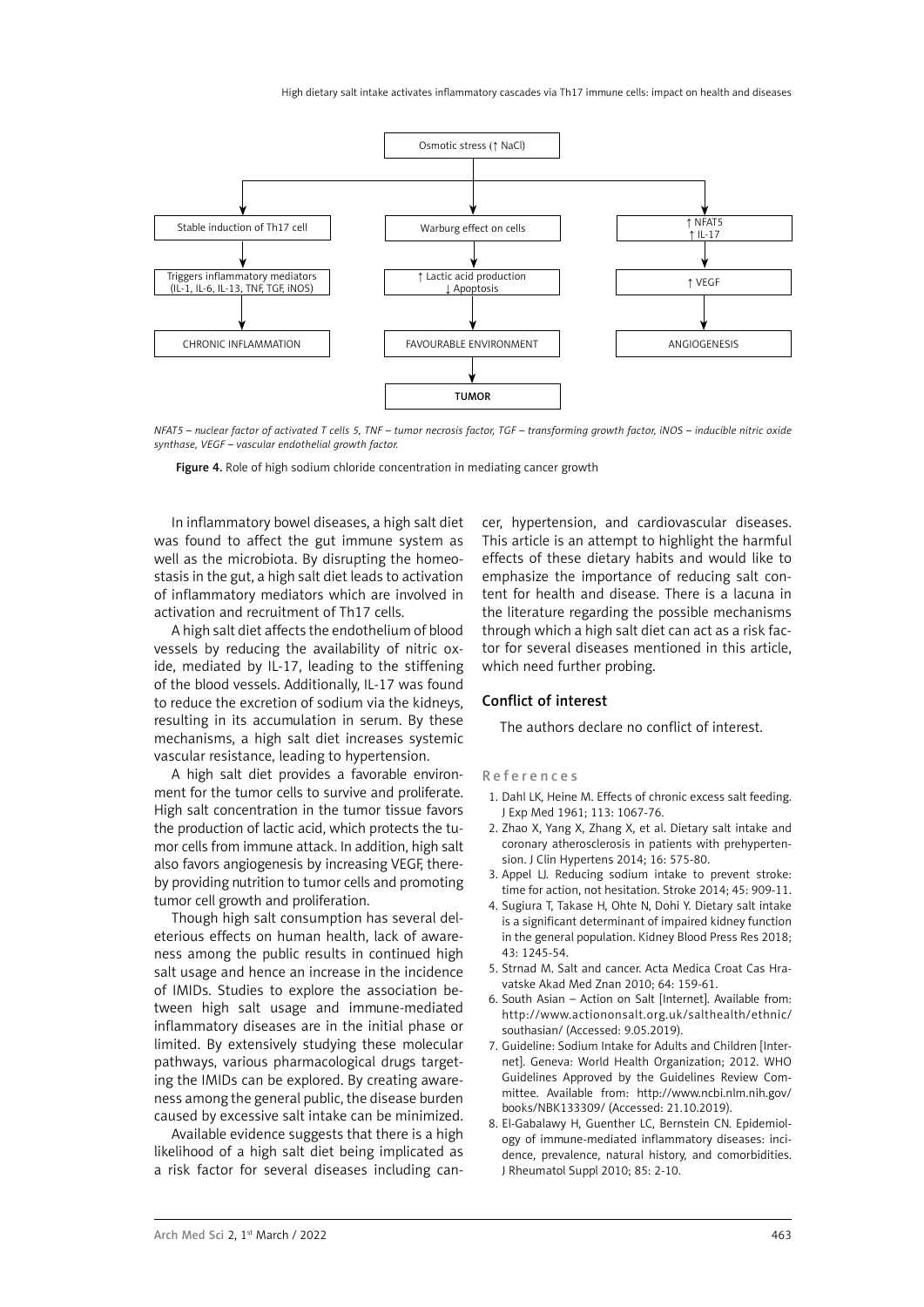

*NFAT5 – nuclear factor of activated T cells 5, TNF – tumor necrosis factor, TGF – transforming growth factor, iNOS – inducible nitric oxide synthase, VEGF – vascular endothelial growth factor.* 

Figure 4. Role of high sodium chloride concentration in mediating cancer growth

In inflammatory bowel diseases, a high salt diet was found to affect the gut immune system as well as the microbiota. By disrupting the homeostasis in the gut, a high salt diet leads to activation of inflammatory mediators which are involved in activation and recruitment of Th17 cells.

A high salt diet affects the endothelium of blood vessels by reducing the availability of nitric oxide, mediated by IL-17, leading to the stiffening of the blood vessels. Additionally, IL-17 was found to reduce the excretion of sodium via the kidneys, resulting in its accumulation in serum. By these mechanisms, a high salt diet increases systemic vascular resistance, leading to hypertension.

A high salt diet provides a favorable environment for the tumor cells to survive and proliferate. High salt concentration in the tumor tissue favors the production of lactic acid, which protects the tumor cells from immune attack. In addition, high salt also favors angiogenesis by increasing VEGF, thereby providing nutrition to tumor cells and promoting tumor cell growth and proliferation.

Though high salt consumption has several deleterious effects on human health, lack of awareness among the public results in continued high salt usage and hence an increase in the incidence of IMIDs. Studies to explore the association between high salt usage and immune-mediated inflammatory diseases are in the initial phase or limited. By extensively studying these molecular pathways, various pharmacological drugs targeting the IMIDs can be explored. By creating awareness among the general public, the disease burden caused by excessive salt intake can be minimized.

Available evidence suggests that there is a high likelihood of a high salt diet being implicated as a risk factor for several diseases including cancer, hypertension, and cardiovascular diseases. This article is an attempt to highlight the harmful effects of these dietary habits and would like to emphasize the importance of reducing salt content for health and disease. There is a lacuna in the literature regarding the possible mechanisms through which a high salt diet can act as a risk factor for several diseases mentioned in this article, which need further probing.

#### Conflict of interest

The authors declare no conflict of interest.

#### References

- 1. Dahl LK, Heine M. Effects of chronic excess salt feeding. J Exp Med 1961; 113: 1067-76.
- 2. Zhao X, Yang X, Zhang X, et al. Dietary salt intake and coronary atherosclerosis in patients with prehypertension. J Clin Hypertens 2014; 16: 575-80.
- 3. Appel LJ. Reducing sodium intake to prevent stroke: time for action, not hesitation. Stroke 2014; 45: 909-11.
- 4. Sugiura T, Takase H, Ohte N, Dohi Y. Dietary salt intake is a significant determinant of impaired kidney function in the general population. Kidney Blood Press Res 2018; 43: 1245-54.
- 5. Strnad M. Salt and cancer. Acta Medica Croat Cas Hravatske Akad Med Znan 2010; 64: 159-61.
- 6. South Asian Action on Salt [Internet]. Available from: [http://www.actiononsalt.org.uk/salthealth/ethnic/](http://www.actiononsalt.org.uk/salthealth/ethnic/southasian/) [southasian/](http://www.actiononsalt.org.uk/salthealth/ethnic/southasian/) (Accessed: 9.05.2019).
- 7. Guideline: Sodium Intake for Adults and Children [Internet]. Geneva: World Health Organization; 2012. WHO Guidelines Approved by the Guidelines Review Committee. Available from[: http://www.ncbi.nlm.nih.gov/](http://www.ncbi.nlm.nih.gov/books/NBK133309/) [books/NBK133309](http://www.ncbi.nlm.nih.gov/books/NBK133309/)/ (Accessed: 21.10.2019).
- 8. El-Gabalawy H, Guenther LC, Bernstein CN. Epidemiology of immune-mediated inflammatory diseases: incidence, prevalence, natural history, and comorbidities. J Rheumatol Suppl 2010; 85: 2-10.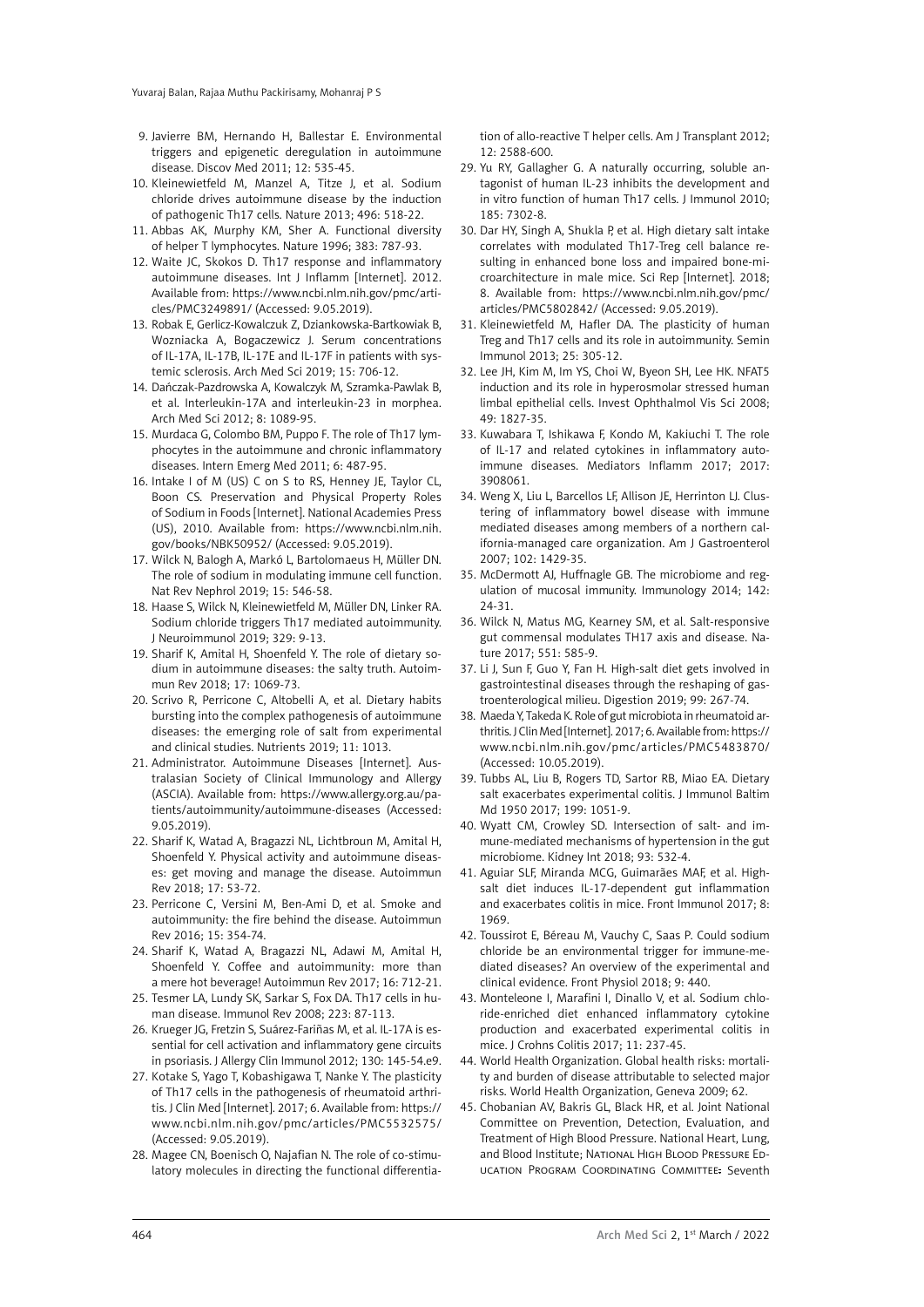- 9. Javierre BM, Hernando H, Ballestar E. Environmental triggers and epigenetic deregulation in autoimmune disease. Discov Med 2011; 12: 535-45.
- 10. Kleinewietfeld M, Manzel A, Titze J, et al. Sodium chloride drives autoimmune disease by the induction of pathogenic Th17 cells. Nature 2013; 496: 518-22.
- 11. Abbas AK, Murphy KM, Sher A. Functional diversity of helper T lymphocytes. Nature 1996; 383: 787-93.
- 12. Waite JC, Skokos D. Th17 response and inflammatory autoimmune diseases. Int J Inflamm [Internet]. 2012. Available from: [https://www.ncbi.nlm.nih.gov/pmc/arti](https://www.ncbi.nlm.nih.gov/pmc/articles/PMC3249891/)[cles/PMC3249891](https://www.ncbi.nlm.nih.gov/pmc/articles/PMC3249891/)/ (Accessed: 9.05.2019).
- 13. Robak E, Gerlicz-Kowalczuk Z, Dziankowska-Bartkowiak B, Wozniacka A, Bogaczewicz J. Serum concentrations of IL-17A, IL-17B, IL-17E and IL-17F in patients with systemic sclerosis. Arch Med Sci 2019; 15: 706-12.
- 14. Dańczak-Pazdrowska A, Kowalczyk M, Szramka-Pawlak B, et al. Interleukin-17A and interleukin-23 in morphea. Arch Med Sci 2012; 8: 1089-95.
- 15. Murdaca G, Colombo BM, Puppo F. The role of Th17 lymphocytes in the autoimmune and chronic inflammatory diseases. Intern Emerg Med 2011; 6: 487-95.
- 16. Intake I of M (US) C on S to RS, Henney JE, Taylor CL, Boon CS. Preservation and Physical Property Roles of Sodium in Foods [Internet]. National Academies Press (US), 2010. Available from: [https://www.ncbi.nlm.nih.](https://www.ncbi.nlm.nih.gov/books/NBK50952/) [gov/books/NBK50952](https://www.ncbi.nlm.nih.gov/books/NBK50952/)/ (Accessed: 9.05.2019).
- 17. Wilck N, Balogh A, Markó L, Bartolomaeus H, Müller DN. The role of sodium in modulating immune cell function. Nat Rev Nephrol 2019; 15: 546-58.
- 18. Haase S, Wilck N, Kleinewietfeld M, Müller DN, Linker RA. Sodium chloride triggers Th17 mediated autoimmunity. J Neuroimmunol 2019; 329: 9-13.
- 19. Sharif K, Amital H, Shoenfeld Y. The role of dietary sodium in autoimmune diseases: the salty truth. Autoimmun Rev 2018; 17: 1069-73.
- 20. Scrivo R, Perricone C, Altobelli A, et al. Dietary habits bursting into the complex pathogenesis of autoimmune diseases: the emerging role of salt from experimental and clinical studies. Nutrients 2019; 11: 1013.
- 21. Administrator. Autoimmune Diseases [Internet]. Australasian Society of Clinical Immunology and Allergy (ASCIA). Available from[: https://www.allergy.org.au/pa](https://www.allergy.org.au/patients/autoimmunity/autoimmune-diseases)[tients/autoimmunity/autoimmune-diseases](https://www.allergy.org.au/patients/autoimmunity/autoimmune-diseases) (Accessed: 9.05.2019).
- 22. Sharif K, Watad A, Bragazzi NL, Lichtbroun M, Amital H, Shoenfeld Y. Physical activity and autoimmune diseases: get moving and manage the disease. Autoimmun Rev 2018; 17: 53-72.
- 23. Perricone C, Versini M, Ben-Ami D, et al. Smoke and autoimmunity: the fire behind the disease. Autoimmun Rev 2016; 15: 354-74.
- 24. Sharif K, Watad A, Bragazzi NL, Adawi M, Amital H, Shoenfeld Y. Coffee and autoimmunity: more than a mere hot beverage! Autoimmun Rev 2017; 16: 712-21.
- 25. Tesmer LA, Lundy SK, Sarkar S, Fox DA. Th17 cells in human disease. Immunol Rev 2008; 223: 87-113.
- 26. Krueger JG, Fretzin S, Suárez-Fariñas M, et al. IL-17A is essential for cell activation and inflammatory gene circuits in psoriasis. J Allergy Clin Immunol 2012; 130: 145-54.e9.
- 27. Kotake S, Yago T, Kobashigawa T, Nanke Y. The plasticity of Th17 cells in the pathogenesis of rheumatoid arthritis. J Clin Med [Internet]. 2017; 6. Available from[: https://](https://www.ncbi.nlm.nih.gov/pmc/articles/PMC5532575/) [www.ncbi.nlm.nih.gov/pmc/articles/PMC5532575](https://www.ncbi.nlm.nih.gov/pmc/articles/PMC5532575/)/ (Accessed: 9.05.2019).
- 28. Magee CN, Boenisch O, Najafian N. The role of co-stimulatory molecules in directing the functional differentia-

tion of allo-reactive T helper cells. Am J Transplant 2012; 12: 2588-600.

- 29. Yu RY, Gallagher G. A naturally occurring, soluble antagonist of human IL-23 inhibits the development and in vitro function of human Th17 cells. J Immunol 2010; 185: 7302-8.
- 30. Dar HY, Singh A, Shukla P, et al. High dietary salt intake correlates with modulated Th17-Treg cell balance resulting in enhanced bone loss and impaired bone-microarchitecture in male mice. Sci Rep [Internet]. 2018; 8. Available from[: https://www.ncbi.nlm.nih.gov/pmc/](https://www.ncbi.nlm.nih.gov/pmc/articles/PMC5802842/) [articles/PMC5802842](https://www.ncbi.nlm.nih.gov/pmc/articles/PMC5802842/)/ (Accessed: 9.05.2019).
- 31. Kleinewietfeld M, Hafler DA. The plasticity of human Treg and Th17 cells and its role in autoimmunity. Semin Immunol 2013; 25: 305-12.
- 32. Lee JH, Kim M, Im YS, Choi W, Byeon SH, Lee HK. NFAT5 induction and its role in hyperosmolar stressed human limbal epithelial cells. Invest Ophthalmol Vis Sci 2008; 49: 1827-35.
- 33. Kuwabara T, Ishikawa F, Kondo M, Kakiuchi T. The role of IL-17 and related cytokines in inflammatory autoimmune diseases. Mediators Inflamm 2017; 2017: 3908061.
- 34. Weng X, Liu L, Barcellos LF, Allison JE, Herrinton LJ. Clustering of inflammatory bowel disease with immune mediated diseases among members of a northern california-managed care organization. Am J Gastroenterol 2007; 102: 1429-35.
- 35. McDermott AJ, Huffnagle GB. The microbiome and regulation of mucosal immunity. Immunology 2014; 142: 24-31.
- 36. Wilck N, Matus MG, Kearney SM, et al. Salt-responsive gut commensal modulates TH17 axis and disease. Nature 2017; 551: 585-9.
- 37. Li J, Sun F, Guo Y, Fan H. High-salt diet gets involved in gastrointestinal diseases through the reshaping of gastroenterological milieu. Digestion 2019; 99: 267-74.
- 38. Maeda Y, Takeda K. Role of gut microbiota in rheumatoid arthritis. J Clin Med [Internet]. 2017; 6. Available from[: https://](https://www.ncbi.nlm.nih.gov/pmc/articles/PMC5483870/) [www.ncbi.nlm.nih.gov/pmc/articles/PMC5483870/](https://www.ncbi.nlm.nih.gov/pmc/articles/PMC5483870/) (Accessed: 10.05.2019).
- 39. Tubbs AL, Liu B, Rogers TD, Sartor RB, Miao EA. Dietary salt exacerbates experimental colitis. J Immunol Baltim Md 1950 2017; 199: 1051-9.
- 40. Wyatt CM, Crowley SD. Intersection of salt- and immune-mediated mechanisms of hypertension in the gut microbiome. Kidney Int 2018; 93: 532-4.
- 41. Aguiar SLF, Miranda MCG, Guimarães MAF, et al. Highsalt diet induces IL-17-dependent gut inflammation and exacerbates colitis in mice. Front Immunol 2017; 8: 1969.
- 42. Toussirot E, Béreau M, Vauchy C, Saas P. Could sodium chloride be an environmental trigger for immune-mediated diseases? An overview of the experimental and clinical evidence. Front Physiol 2018; 9: 440.
- 43. Monteleone I, Marafini I, Dinallo V, et al. Sodium chloride-enriched diet enhanced inflammatory cytokine production and exacerbated experimental colitis in mice. J Crohns Colitis 2017; 11: 237-45.
- 44. World Health Organization. Global health risks: mortality and burden of disease attributable to selected major risks. World Health Organization, Geneva 2009; 62.
- 45. Chobanian AV, Bakris GL, Black HR, et al[. Joint National](https://pubmed.ncbi.nlm.nih.gov/?term=Joint+National+Committee+on+Prevention%2C+Detection%2C+Evaluation%2C+and+Treatment+of+High+Blood+Pressure.+National+Heart%2C+Lung%2C+and+Blood+Institute%5BCorporate+Author%5D) [Committee on Prevention, Detection, Evaluation, and](https://pubmed.ncbi.nlm.nih.gov/?term=Joint+National+Committee+on+Prevention%2C+Detection%2C+Evaluation%2C+and+Treatment+of+High+Blood+Pressure.+National+Heart%2C+Lung%2C+and+Blood+Institute%5BCorporate+Author%5D) [Treatment of High Blood Pressure. National Heart, Lung,](https://pubmed.ncbi.nlm.nih.gov/?term=Joint+National+Committee+on+Prevention%2C+Detection%2C+Evaluation%2C+and+Treatment+of+High+Blood+Pressure.+National+Heart%2C+Lung%2C+and+Blood+Institute%5BCorporate+Author%5D) [and Blood Institute](https://pubmed.ncbi.nlm.nih.gov/?term=Joint+National+Committee+on+Prevention%2C+Detection%2C+Evaluation%2C+and+Treatment+of+High+Blood+Pressure.+National+Heart%2C+Lung%2C+and+Blood+Institute%5BCorporate+Author%5D); NATIONAL HIGH BLOOD PRESSURE ED[ucation Program Coordinating Committee](https://pubmed.ncbi.nlm.nih.gov/?term=National+High+Blood+Pressure+Education+Program+Coordinating+Committee%5BCorporate+Author%5D). Seventh